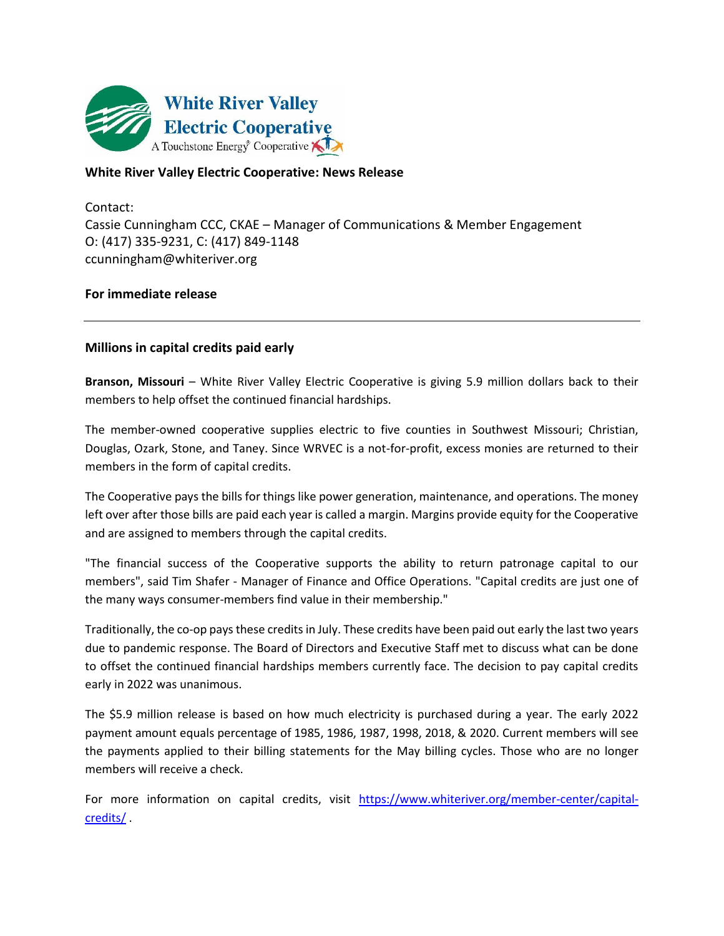

## **White River Valley Electric Cooperative: News Release**

Contact: Cassie Cunningham CCC, CKAE – Manager of Communications & Member Engagement O: (417) 335-9231, C: (417) 849-1148 ccunningham@whiteriver.org

## **For immediate release**

## **Millions in capital credits paid early**

**Branson, Missouri** – White River Valley Electric Cooperative is giving 5.9 million dollars back to their members to help offset the continued financial hardships.

The member-owned cooperative supplies electric to five counties in Southwest Missouri; Christian, Douglas, Ozark, Stone, and Taney. Since WRVEC is a not-for-profit, excess monies are returned to their members in the form of capital credits.

The Cooperative pays the bills for things like power generation, maintenance, and operations. The money left over after those bills are paid each year is called a margin. Margins provide equity for the Cooperative and are assigned to members through the capital credits.

"The financial success of the Cooperative supports the ability to return patronage capital to our members", said Tim Shafer - Manager of Finance and Office Operations. "Capital credits are just one of the many ways consumer-members find value in their membership."

Traditionally, the co-op pays these credits in July. These credits have been paid out early the last two years due to pandemic response. The Board of Directors and Executive Staff met to discuss what can be done to offset the continued financial hardships members currently face. The decision to pay capital credits early in 2022 was unanimous.

The \$5.9 million release is based on how much electricity is purchased during a year. The early 2022 payment amount equals percentage of 1985, 1986, 1987, 1998, 2018, & 2020. Current members will see the payments applied to their billing statements for the May billing cycles. Those who are no longer members will receive a check.

For more information on capital credits, visit [https://www.whiteriver.org/member-center/capital](https://www.whiteriver.org/member-center/capital-credits/)[credits/](https://www.whiteriver.org/member-center/capital-credits/) .